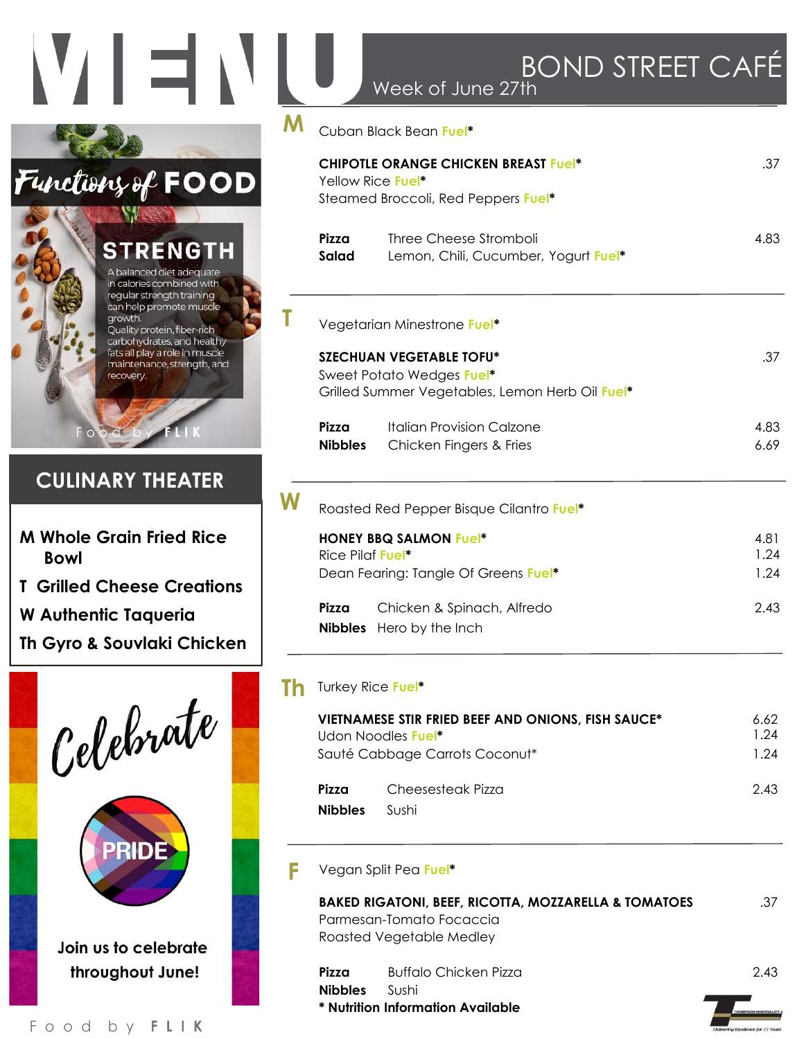## VIENI **M** Functions of FOOD **MASS STRENGTH** A balanced diet adequate in calories combined with regular strength training can help promote muscle **T** growth. Quality protein, fiber-rich carbohydrates, and healthy fats all play a role in muscle maintenance, strength, and recovery. **CULINARY THEATER**

- **M Whole Grain Fried Rice Bowl**
- **T Grilled Cheese Creations**

**W**

**Th**

**F**

- **W Authentic Taqueria**
- **Th Gyro & Souvlaki Chicken**



| DUINU JIKEEI UAI<br>Week of June 27th                                                                           |                      |
|-----------------------------------------------------------------------------------------------------------------|----------------------|
| Cuban Black Bean Fuel*                                                                                          |                      |
| <b>CHIPOTLE ORANGE CHICKEN BREAST Fuel*</b><br>Yellow Rice Fuel*<br>Steamed Broccoli, Red Peppers Fuel*         | .37                  |
| Pizza<br>Three Cheese Stromboli<br>Salad<br>Lemon, Chili, Cucumber, Yogurt Fuel*                                | 4.83                 |
| Vegetarian Minestrone Fuel*                                                                                     |                      |
| <b>SZECHUAN VEGETABLE TOFU*</b><br>Sweet Potato Wedges Fuel*<br>Grilled Summer Vegetables, Lemon Herb Oil Fuel* | .37                  |
| <b>Italian Provision Calzone</b><br>Pizza<br><b>Nibbles</b><br>Chicken Fingers & Fries                          | 4.83<br>6.69         |
| Roasted Red Pepper Bisque Cilantro Fuel*                                                                        |                      |
| <b>HONEY BBQ SALMON Fuel*</b><br>Rice Pilaf Fue <sup>*</sup><br>Dean Fearing: Tangle Of Greens Fuel*            | 4.81<br>1.24<br>1.24 |
| Pizza<br>Chicken & Spinach, Alfredo<br><b>Nibbles</b><br>Hero by the Inch                                       | 2.43                 |
| Turkey Rice Fuel*                                                                                               |                      |
| VIETNAMESE STIR FRIED BEEF AND ONIONS, FISH SAUCE*<br>Udon Noodles Fuel*<br>Sauté Cabbage Carrots Coconut*      | 6.62<br>1.24<br>1.24 |
| Pizza<br>Cheesesteak Pizza<br><b>Nibbles</b><br>Sushi                                                           | 2.43                 |
| Vegan Split Pea Fuel*                                                                                           |                      |
| <b>BAKED RIGATONI, BEEF, RICOTTA, MOZZARELLA &amp; TOMATOES</b><br>Parmesan-Tomato Focaccia                     | .37                  |

 $D \cap \mathcal{N}$ ID CTDEFT  $\cap$  A

**Pizza** Buffalo Chicken Pizza 2.43 **Nibbles** Sushi **\* Nutrition Information Available** 

Roasted Vegetable Medley